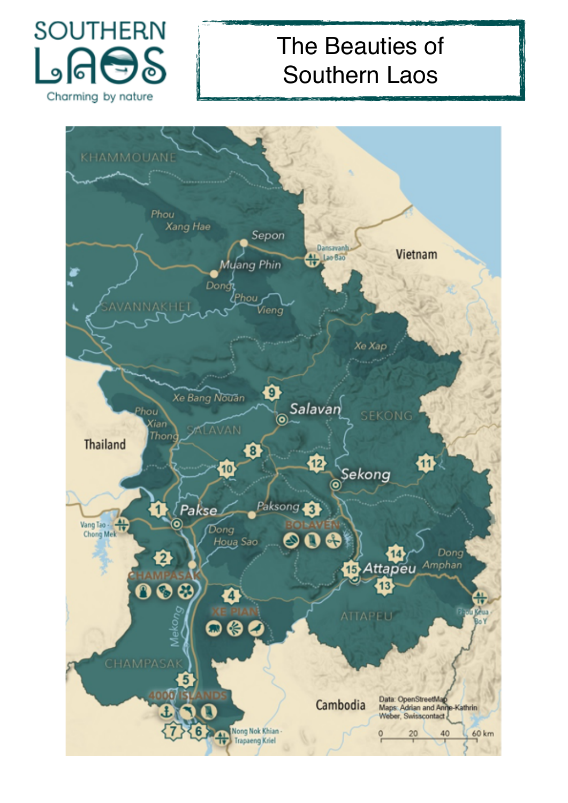

# The Beauties of Southern Laos

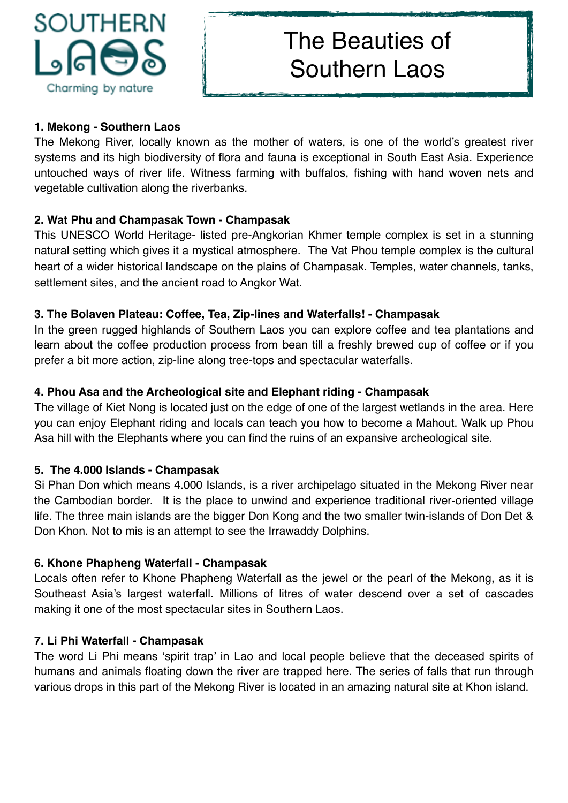

# The Beauties of Southern Laos

### **1. Mekong - Southern Laos**

The Mekong River, locally known as the mother of waters, is one of the world's greatest river systems and its high biodiversity of flora and fauna is exceptional in South East Asia. Experience untouched ways of river life. Witness farming with buffalos, fishing with hand woven nets and vegetable cultivation along the riverbanks.

### **2. Wat Phu and Champasak Town - Champasak**

This UNESCO World Heritage- listed pre-Angkorian Khmer temple complex is set in a stunning natural setting which gives it a mystical atmosphere. The Vat Phou temple complex is the cultural heart of a wider historical landscape on the plains of Champasak. Temples, water channels, tanks, settlement sites, and the ancient road to Angkor Wat.

### **3. The Bolaven Plateau: Coffee, Tea, Zip-lines and Waterfalls! - Champasak**

In the green rugged highlands of Southern Laos you can explore coffee and tea plantations and learn about the coffee production process from bean till a freshly brewed cup of coffee or if you prefer a bit more action, zip-line along tree-tops and spectacular waterfalls.

### **4. Phou Asa and the Archeological site and Elephant riding - Champasak**

The village of Kiet Nong is located just on the edge of one of the largest wetlands in the area. Here you can enjoy Elephant riding and locals can teach you how to become a Mahout. Walk up Phou Asa hill with the Elephants where you can find the ruins of an expansive archeological site.

### **5. The 4.000 Islands - Champasak**

Si Phan Don which means 4.000 Islands, is a river archipelago situated in the Mekong River near the Cambodian border. It is the place to unwind and experience traditional river-oriented village life. The three main islands are the bigger Don Kong and the two smaller twin-islands of Don Det & Don Khon. Not to mis is an attempt to see the Irrawaddy Dolphins.

### **6. Khone Phapheng Waterfall - Champasak**

Locals often refer to Khone Phapheng Waterfall as the jewel or the pearl of the Mekong, as it is Southeast Asia's largest waterfall. Millions of litres of water descend over a set of cascades making it one of the most spectacular sites in Southern Laos.

### **7. Li Phi Waterfall - Champasak**

The word Li Phi means 'spirit trap' in Lao and local people believe that the deceased spirits of humans and animals floating down the river are trapped here. The series of falls that run through various drops in this part of the Mekong River is located in an amazing natural site at Khon island.